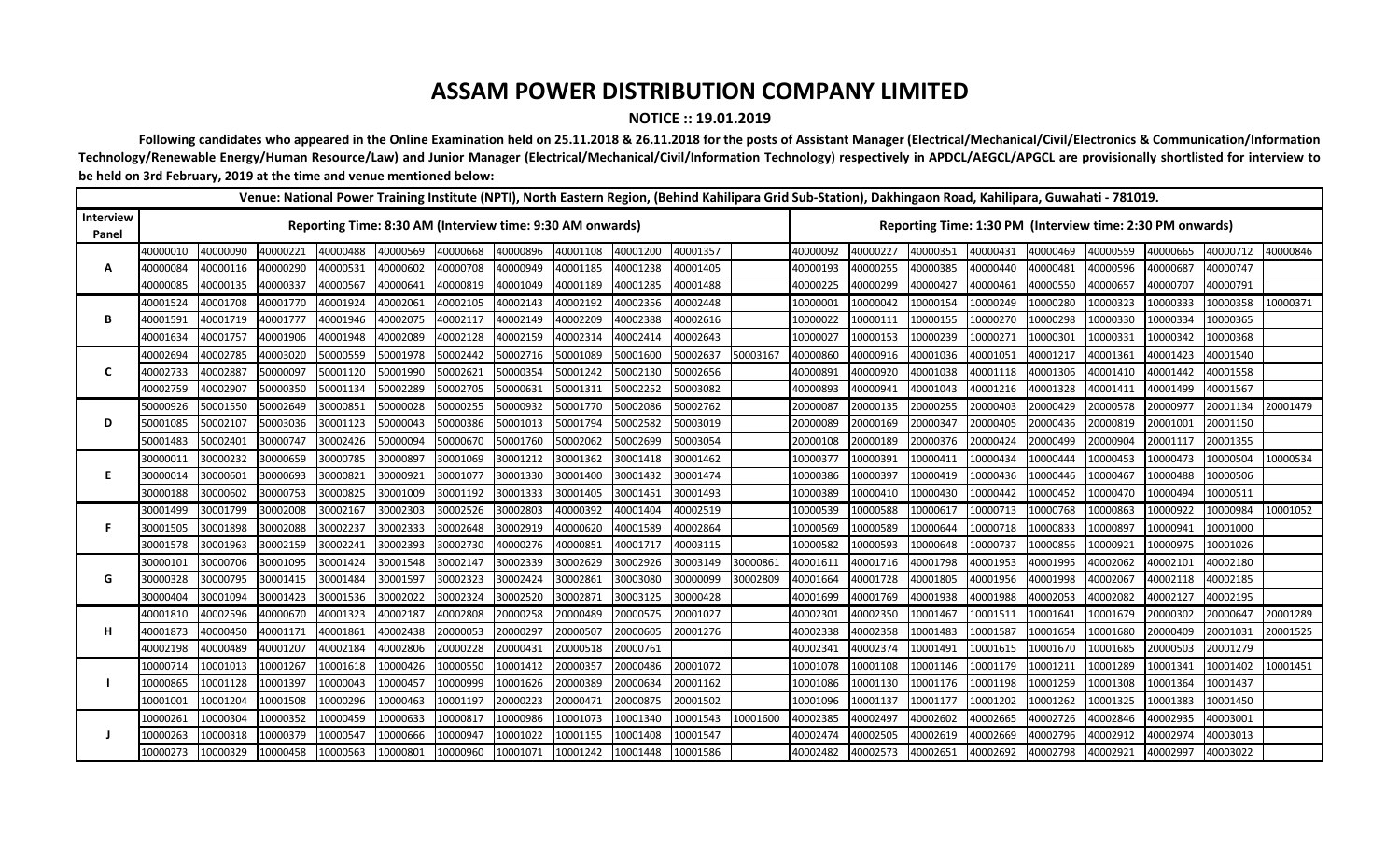## **ASSAM POWER DISTRIBUTION COMPANY LIMITED**

## **NOTICE :: 19.01.2019**

Following candidates who appeared in the Online Examination held on 25.11.2018 & 26.11.2018 for the posts of Assistant Manager (Electrical/Mechanical/Civil/Electronics & Communication/Information Technology/Renewable Energy/Human Resource/Law) and Junior Manager (Electrical/Mechanical/Civil/Information Technology) respectively in APDCL/AEGCL/APGCL are provisionally shortlisted for interview to **be held on 3rd February, 2019 at the time and venue mentioned below:**

|                    |                                                           |          |          |          | Venue: National Power Training Institute (NPTI), North Eastern Region, (Behind Kahilipara Grid Sub-Station), Dakhingaon Road, Kahilipara, Guwahati - 781019. |          |          |          |          |          |          |          |                                                           |          |          |          |          |          |          |          |  |
|--------------------|-----------------------------------------------------------|----------|----------|----------|--------------------------------------------------------------------------------------------------------------------------------------------------------------|----------|----------|----------|----------|----------|----------|----------|-----------------------------------------------------------|----------|----------|----------|----------|----------|----------|----------|--|
| Interview<br>Panel | Reporting Time: 8:30 AM (Interview time: 9:30 AM onwards) |          |          |          |                                                                                                                                                              |          |          |          |          |          |          |          | Reporting Time: 1:30 PM (Interview time: 2:30 PM onwards) |          |          |          |          |          |          |          |  |
| А                  | 40000010                                                  | 40000090 | 40000221 | 40000488 | 40000569                                                                                                                                                     | 40000668 | 40000896 | 40001108 | 40001200 | 40001357 |          | 40000092 | 40000227                                                  | 40000351 | 40000431 | 40000469 | 40000559 | 40000665 | 40000712 | 40000846 |  |
|                    | 40000084                                                  | 40000116 | 40000290 | 40000531 | 40000602                                                                                                                                                     | 40000708 | 40000949 | 40001185 | 40001238 | 40001405 |          | 40000193 | 40000255                                                  | 40000385 | 40000440 | 40000481 | 40000596 | 40000687 | 40000747 |          |  |
|                    | 40000085                                                  | 40000135 | 40000337 | 40000567 | 40000641                                                                                                                                                     | 40000819 | 40001049 | 40001189 | 40001285 | 40001488 |          | 40000225 | 40000299                                                  | 40000427 | 40000461 | 40000550 | 40000657 | 40000707 | 40000791 |          |  |
| В                  | 40001524                                                  | 40001708 | 40001770 | 40001924 | 40002061                                                                                                                                                     | 40002105 | 40002143 | 40002192 | 40002356 | 40002448 |          | 10000001 | 10000042                                                  | 10000154 | 10000249 | 10000280 | 10000323 | 10000333 | 10000358 | 10000371 |  |
|                    | 40001591                                                  | 40001719 | 40001777 | 40001946 | 40002075                                                                                                                                                     | 40002117 | 40002149 | 40002209 | 40002388 | 40002616 |          | 10000022 | 10000111                                                  | 10000155 | 10000270 | 10000298 | 10000330 | 10000334 | 10000365 |          |  |
|                    | 40001634                                                  | 40001757 | 40001906 | 40001948 | 40002089                                                                                                                                                     | 40002128 | 40002159 | 40002314 | 40002414 | 40002643 |          | 10000027 | 10000153                                                  | 10000239 | 1000027: | 10000301 | 10000331 | 10000342 | 10000368 |          |  |
| C                  | 40002694                                                  | 40002785 | 40003020 | 50000559 | 50001978                                                                                                                                                     | 50002442 | 50002716 | 50001089 | 50001600 | 50002637 | 50003167 | 40000860 | 40000916                                                  | 40001036 | 4000105  | 40001217 | 40001361 | 40001423 | 40001540 |          |  |
|                    | 40002733                                                  | 40002887 | 50000097 | 50001120 | 50001990                                                                                                                                                     | 50002621 | 50000354 | 50001242 | 50002130 | 50002656 |          | 40000891 | 40000920                                                  | 40001038 | 40001118 | 40001306 | 40001410 | 40001442 | 40001558 |          |  |
|                    | 40002759                                                  | 40002907 | 50000350 | 50001134 | 50002289                                                                                                                                                     | 50002705 | 50000631 | 50001311 | 50002252 | 50003082 |          | 40000893 | 40000941                                                  | 40001043 | 40001216 | 40001328 | 40001411 | 40001499 | 40001567 |          |  |
| D                  | 50000926                                                  | 50001550 | 50002649 | 30000851 | 50000028                                                                                                                                                     | 50000255 | 50000932 | 50001770 | 50002086 | 50002762 |          | 20000087 | 20000135                                                  | 20000255 | 20000403 | 20000429 | 20000578 | 20000977 | 20001134 | 20001479 |  |
|                    | 50001085                                                  | 50002107 | 50003036 | 30001123 | 50000043                                                                                                                                                     | 50000386 | 50001013 | 50001794 | 50002582 | 50003019 |          | 20000089 | 20000169                                                  | 20000347 | 20000405 | 20000436 | 20000819 | 20001001 | 20001150 |          |  |
|                    | 50001483                                                  | 50002401 | 30000747 | 30002426 | 50000094                                                                                                                                                     | 50000670 | 50001760 | 50002062 | 50002699 | 50003054 |          | 20000108 | 20000189                                                  | 20000376 | 20000424 | 20000499 | 20000904 | 20001117 | 20001355 |          |  |
| F                  | 30000011                                                  | 30000232 | 30000659 | 30000785 | 30000897                                                                                                                                                     | 30001069 | 30001212 | 30001362 | 30001418 | 30001462 |          | 10000377 | 10000391                                                  | 10000411 | 10000434 | 10000444 | 10000453 | 10000473 | 10000504 | 10000534 |  |
|                    | 30000014                                                  | 30000601 | 30000693 | 30000821 | 30000921                                                                                                                                                     | 30001077 | 30001330 | 30001400 | 30001432 | 30001474 |          | 10000386 | 10000397                                                  | 10000419 | 10000436 | 10000446 | 10000467 | 10000488 | 10000506 |          |  |
|                    | 30000188                                                  | 30000602 | 30000753 | 30000825 | 30001009                                                                                                                                                     | 30001192 | 30001333 | 30001405 | 30001451 | 30001493 |          | 10000389 | 10000410                                                  | 10000430 | 10000442 | 10000452 | 10000470 | 10000494 | 10000511 |          |  |
| F                  | 30001499                                                  | 30001799 | 30002008 | 30002167 | 30002303                                                                                                                                                     | 30002526 | 30002803 | 40000392 | 40001404 | 40002519 |          | 10000539 | 10000588                                                  | 10000617 | 10000713 | 10000768 | 10000863 | 10000922 | 10000984 | 10001052 |  |
|                    | 30001505                                                  | 30001898 | 30002088 | 30002237 | 30002333                                                                                                                                                     | 30002648 | 30002919 | 40000620 | 40001589 | 40002864 |          | 10000569 | 10000589                                                  | 10000644 | 10000718 | 10000833 | 10000897 | 10000941 | 10001000 |          |  |
|                    | 30001578                                                  | 30001963 | 30002159 | 30002241 | 30002393                                                                                                                                                     | 30002730 | 40000276 | 40000851 | 40001717 | 40003115 |          | 10000582 | 10000593                                                  | 10000648 | 10000737 | 10000856 | 10000921 | 10000975 | 10001026 |          |  |
| G                  | 30000101                                                  | 30000706 | 30001095 | 30001424 | 30001548                                                                                                                                                     | 30002147 | 30002339 | 30002629 | 30002926 | 30003149 | 30000861 | 40001611 | 40001716                                                  | 40001798 | 40001953 | 40001995 | 40002062 | 40002101 | 40002180 |          |  |
|                    | 30000328                                                  | 30000795 | 30001415 | 30001484 | 30001597                                                                                                                                                     | 30002323 | 30002424 | 30002861 | 30003080 | 30000099 | 30002809 | 40001664 | 40001728                                                  | 40001805 | 40001956 | 40001998 | 40002067 | 40002118 | 40002185 |          |  |
|                    | 30000404                                                  | 30001094 | 30001423 | 30001536 | 30002022                                                                                                                                                     | 30002324 | 30002520 | 30002871 | 30003125 | 30000428 |          | 40001699 | 40001769                                                  | 40001938 | 40001988 | 40002053 | 40002082 | 40002127 | 40002195 |          |  |
| н                  | 40001810                                                  | 40002596 | 40000670 | 40001323 | 40002187                                                                                                                                                     | 40002808 | 20000258 | 20000489 | 20000575 | 20001027 |          | 40002301 | 40002350                                                  | 10001467 | 10001511 | 10001641 | 10001679 | 20000302 | 20000647 | 20001289 |  |
|                    | 40001873                                                  | 40000450 | 40001171 | 40001861 | 40002438                                                                                                                                                     | 20000053 | 20000297 | 20000507 | 20000605 | 20001276 |          | 40002338 | 40002358                                                  | 10001483 | 1000158  | 10001654 | 10001680 | 20000409 | 20001031 | 20001525 |  |
|                    | 40002198                                                  | 40000489 | 40001207 | 40002184 | 40002806                                                                                                                                                     | 20000228 | 20000431 | 20000518 | 20000761 |          |          | 40002341 | 40002374                                                  | 10001491 | 10001615 | 10001670 | 10001685 | 20000503 | 20001279 |          |  |
|                    | 10000714                                                  | 10001013 | 10001267 | 10001618 | 10000426                                                                                                                                                     | 10000550 | 10001412 | 20000357 | 20000486 | 20001072 |          | 10001078 | 10001108                                                  | 10001146 | 10001179 | 10001211 | 10001289 | 10001341 | 10001402 | 10001451 |  |
|                    | 10000865                                                  | 10001128 | 10001397 | 10000043 | 10000457                                                                                                                                                     | 10000999 | 10001626 | 20000389 | 20000634 | 20001162 |          | 10001086 | 10001130                                                  | 10001176 | 10001198 | 10001259 | 10001308 | 10001364 | 10001437 |          |  |
|                    | 10001001                                                  | 10001204 | 10001508 | 10000296 | 10000463                                                                                                                                                     | 10001197 | 20000223 | 20000471 | 20000875 | 20001502 |          | 10001096 | 10001137                                                  | 10001177 | 10001202 | 10001262 | 10001325 | 10001383 | 10001450 |          |  |
|                    | 10000261                                                  | 10000304 | 10000352 | 10000459 | 10000633                                                                                                                                                     | 10000817 | 10000986 | 10001073 | 10001340 | 10001543 | 10001600 | 40002385 | 40002497                                                  | 40002602 | 40002665 | 40002726 | 40002846 | 40002935 | 40003001 |          |  |
|                    | 0000263.                                                  | 10000318 | 10000379 | 10000547 | 10000666                                                                                                                                                     | 10000947 | 10001022 | 10001155 | 10001408 | 10001547 |          | 40002474 | 40002505                                                  | 40002619 | 40002669 | 40002796 | 40002912 | 40002974 | 40003013 |          |  |
|                    | 10000273                                                  | 10000329 | 10000458 | 10000563 | 10000801                                                                                                                                                     | 10000960 | 10001071 | 10001242 | 10001448 | 10001586 |          | 40002482 | 40002573                                                  | 40002651 | 40002692 | 40002798 | 40002921 | 40002997 | 40003022 |          |  |